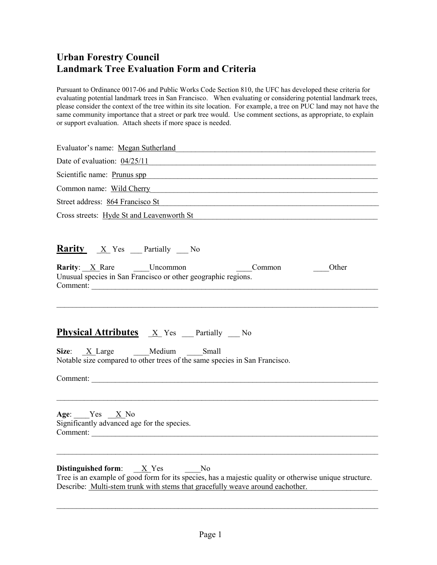Pursuant to Ordinance 0017-06 and Public Works Code Section 810, the UFC has developed these criteria for evaluating potential landmark trees in San Francisco. When evaluating or considering potential landmark trees, please consider the context of the tree within its site location. For example, a tree on PUC land may not have the same community importance that a street or park tree would. Use comment sections, as appropriate, to explain or support evaluation. Attach sheets if more space is needed.

| Evaluator's name: Megan Sutherland                                                                                                                                                                                               |
|----------------------------------------------------------------------------------------------------------------------------------------------------------------------------------------------------------------------------------|
| Date of evaluation: $04/25/11$                                                                                                                                                                                                   |
| Scientific name: Prunus spp                                                                                                                                                                                                      |
| Common name: Wild Cherry New York Common name: Wild Cherry                                                                                                                                                                       |
| Street address: 864 Francisco St Charles Contract and The Street address: 864 Francisco St                                                                                                                                       |
| Cross streets: Hyde St and Leavenworth St Cross Streets: Apple St and Leavenworth St                                                                                                                                             |
| <b>Rarity</b> X Yes Partially No                                                                                                                                                                                                 |
| <b>Rarity:</b> $\underline{X}$ Rare Uncommon<br>Common<br>Other<br>Unusual species in San Francisco or other geographic regions.<br>Comment:                                                                                     |
| <b>Physical Attributes</b> $\underline{X}$ Yes <b>Partially</b> $\overline{N}$<br>Size: <u>X</u> Large Medium Small<br>Notable size compared to other trees of the same species in San Francisco.                                |
| Comment:                                                                                                                                                                                                                         |
| Age: $Yes \_ X No$<br>Significantly advanced age for the species.<br>Comment:                                                                                                                                                    |
| <b>Distinguished form:</b> $X$ Yes No<br>Tree is an example of good form for its species, has a majestic quality or otherwise unique structure.<br>Describe: Multi-stem trunk with stems that gracefully weave around eachother. |

\_\_\_\_\_\_\_\_\_\_\_\_\_\_\_\_\_\_\_\_\_\_\_\_\_\_\_\_\_\_\_\_\_\_\_\_\_\_\_\_\_\_\_\_\_\_\_\_\_\_\_\_\_\_\_\_\_\_\_\_\_\_\_\_\_\_\_\_\_\_\_\_\_\_\_\_\_\_\_\_\_\_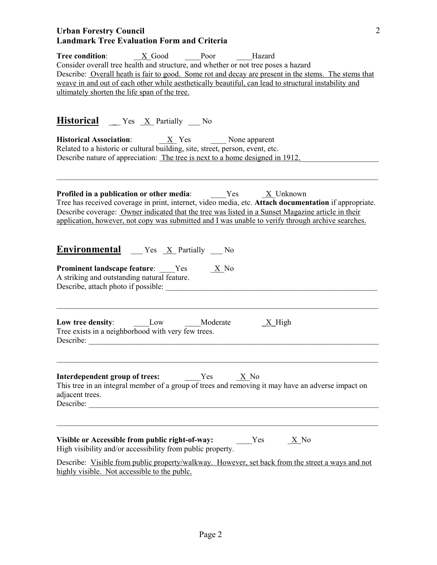| Tree condition: X Good Poor Hazard<br>Consider overall tree health and structure, and whether or not tree poses a hazard<br>Describe: Overall heath is fair to good. Some rot and decay are present in the stems. The stems that<br>weave in and out of each other while aesthetically beautiful, can lead to structural instability and<br>ultimately shorten the life span of the tree.     |  |  |  |  |
|-----------------------------------------------------------------------------------------------------------------------------------------------------------------------------------------------------------------------------------------------------------------------------------------------------------------------------------------------------------------------------------------------|--|--|--|--|
| <b>Historical</b> _ Yes $X$ Partially _ No<br><b>Historical Association:</b> $X$ Yes None apparent<br>Related to a historic or cultural building, site, street, person, event, etc.<br>Describe nature of appreciation: The tree is next to a home designed in 1912.                                                                                                                          |  |  |  |  |
| <b>Profiled in a publication or other media:</b> $Yes$ _ <u>X</u> _Unknown<br>Tree has received coverage in print, internet, video media, etc. Attach documentation if appropriate.<br>Describe coverage: Owner indicated that the tree was listed in a Sunset Magazine article in their<br>application, however, not copy was submitted and I was unable to verify through archive searches. |  |  |  |  |
| <b>Environmental</b> $Y$ es $\underline{X}$ Partially $\underline{N}$<br><b>Prominent landscape feature:</b> Yes<br>$\frac{X}{A}$ No<br>A striking and outstanding natural feature.<br>Describe, attach photo if possible:                                                                                                                                                                    |  |  |  |  |
| Low tree density: __________Low _________Moderate<br>$X$ High<br>Tree exists in a neighborhood with very few trees.<br>Describe:                                                                                                                                                                                                                                                              |  |  |  |  |
| X No<br>This tree in an integral member of a group of trees and removing it may have an adverse impact on<br>adjacent trees.<br>Describe:                                                                                                                                                                                                                                                     |  |  |  |  |
| Visible or Accessible from public right-of-way:<br>Yes<br>X No<br>High visibility and/or accessibility from public property.<br>Describe: Visible from public property/walkway. However, set back from the street a ways and not<br>highly visible. Not accessible to the puble.                                                                                                              |  |  |  |  |

2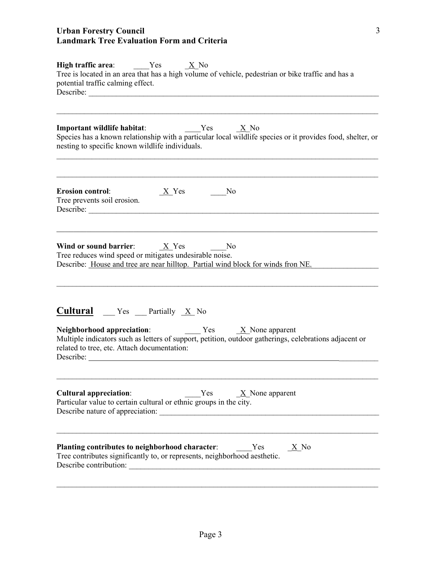| <b>High traffic area:</b> Yes $X \to N$<br>Tree is located in an area that has a high volume of vehicle, pedestrian or bike traffic and has a<br>potential traffic calming effect.                                                                                                         |  |  |  |  |
|--------------------------------------------------------------------------------------------------------------------------------------------------------------------------------------------------------------------------------------------------------------------------------------------|--|--|--|--|
| $Yes$ X No<br>Important wildlife habitat:<br>Species has a known relationship with a particular local wildlife species or it provides food, shelter, or<br>nesting to specific known wildlife individuals.                                                                                 |  |  |  |  |
| <b>Erosion control:</b><br>$\underline{X}$ Yes<br>N <sub>0</sub><br>Tree prevents soil erosion.<br>Describe:                                                                                                                                                                               |  |  |  |  |
| Wind or sound barrier: $X$ Yes<br>N <sub>0</sub><br>Tree reduces wind speed or mitigates undesirable noise.<br>Describe: House and tree are near hilltop. Partial wind block for winds fron NE.                                                                                            |  |  |  |  |
| <b>Cultural</b> __ Yes __ Partially _X_ No<br><b>Neighborhood appreciation:</b> $Y$ es $\underline{X}$ None apparent<br>Multiple indicators such as letters of support, petition, outdoor gatherings, celebrations adjacent or<br>related to tree, etc. Attach documentation:<br>Describe: |  |  |  |  |
| <b>Cultural appreciation:</b><br>Yes<br>$\underline{X}$ None apparent<br>Particular value to certain cultural or ethnic groups in the city.                                                                                                                                                |  |  |  |  |
| Planting contributes to neighborhood character:<br>$\underline{X}$ No<br>Yes<br>Tree contributes significantly to, or represents, neighborhood aesthetic.<br>Describe contribution:                                                                                                        |  |  |  |  |